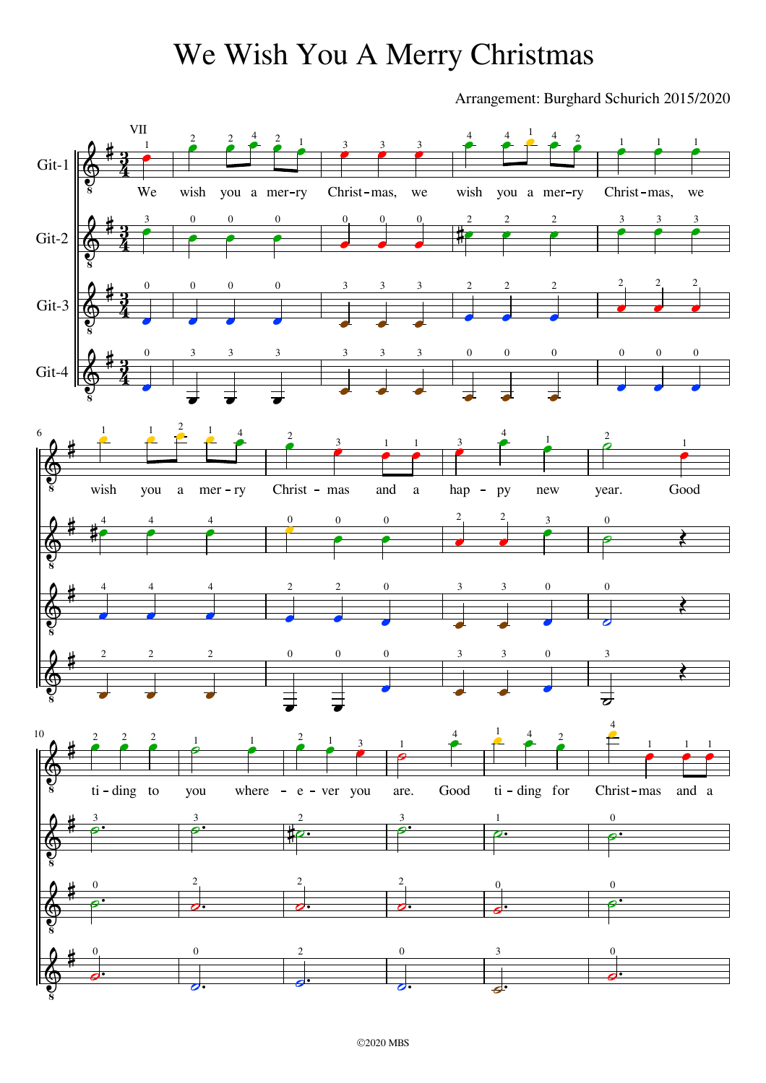### We Wish You A Merry Christmas

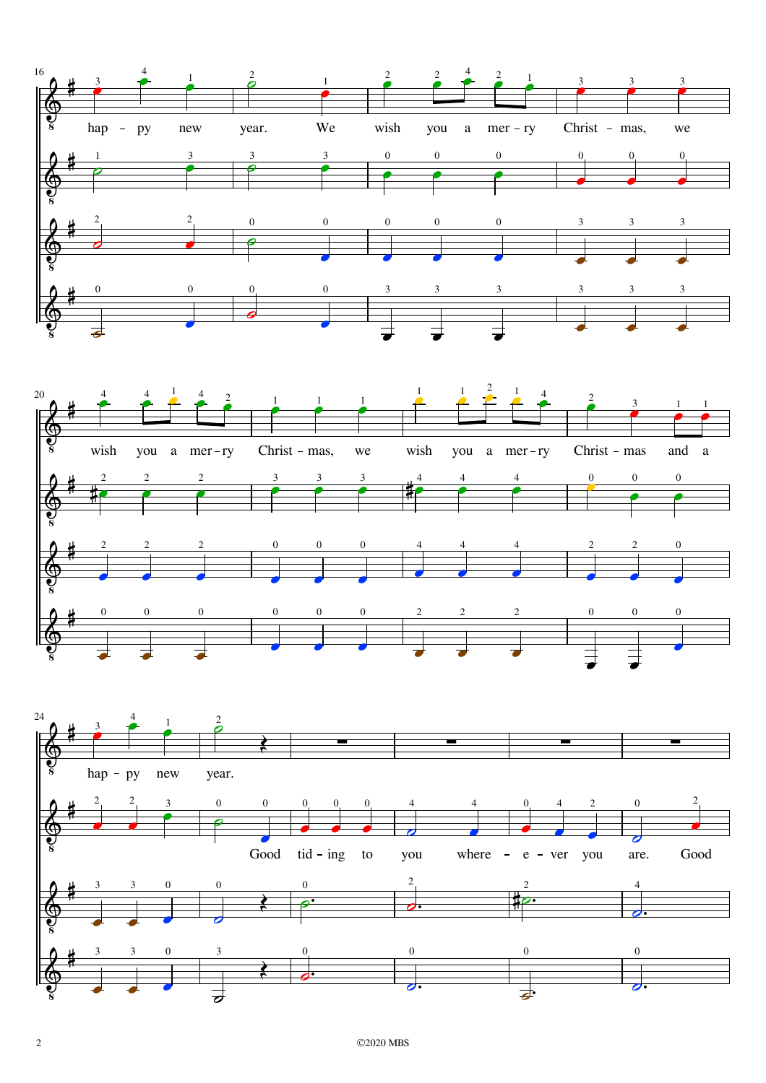



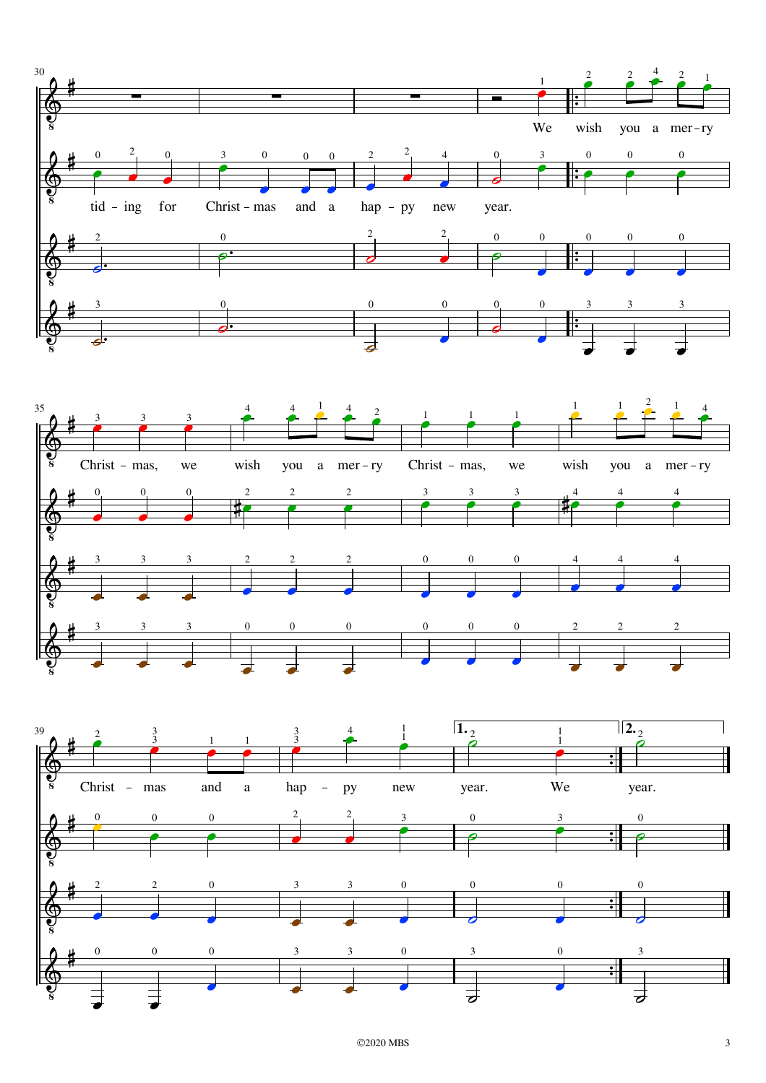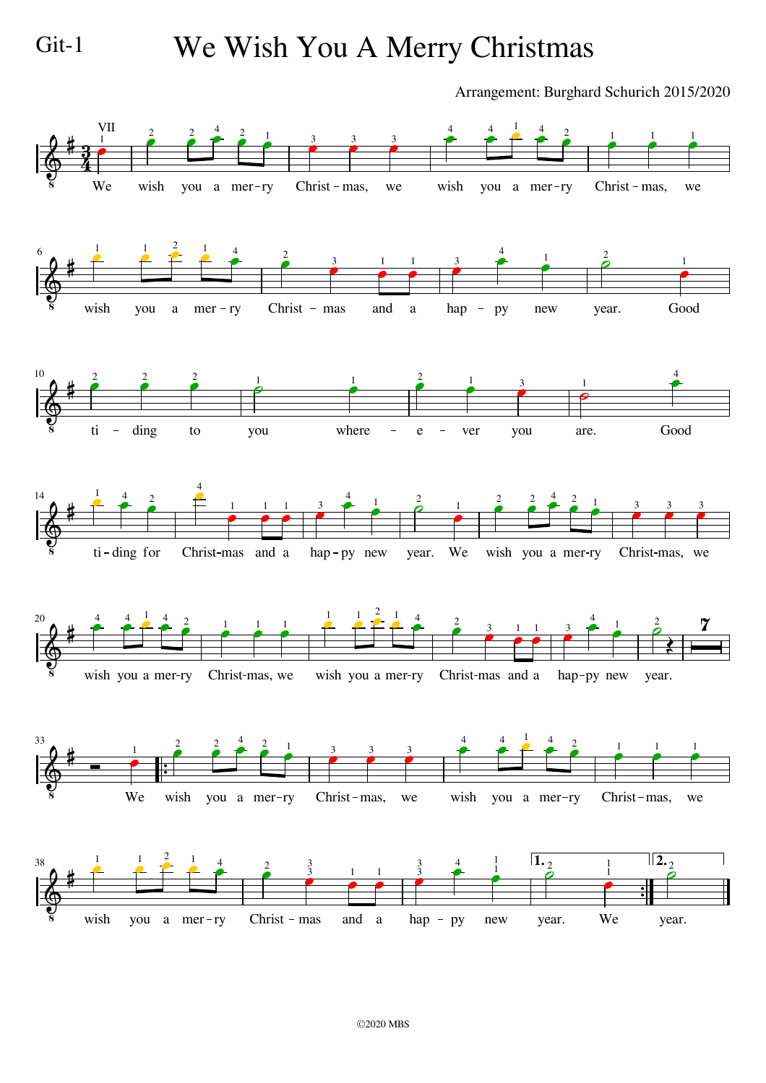## Git-1 We Wish You A Merry Christmas

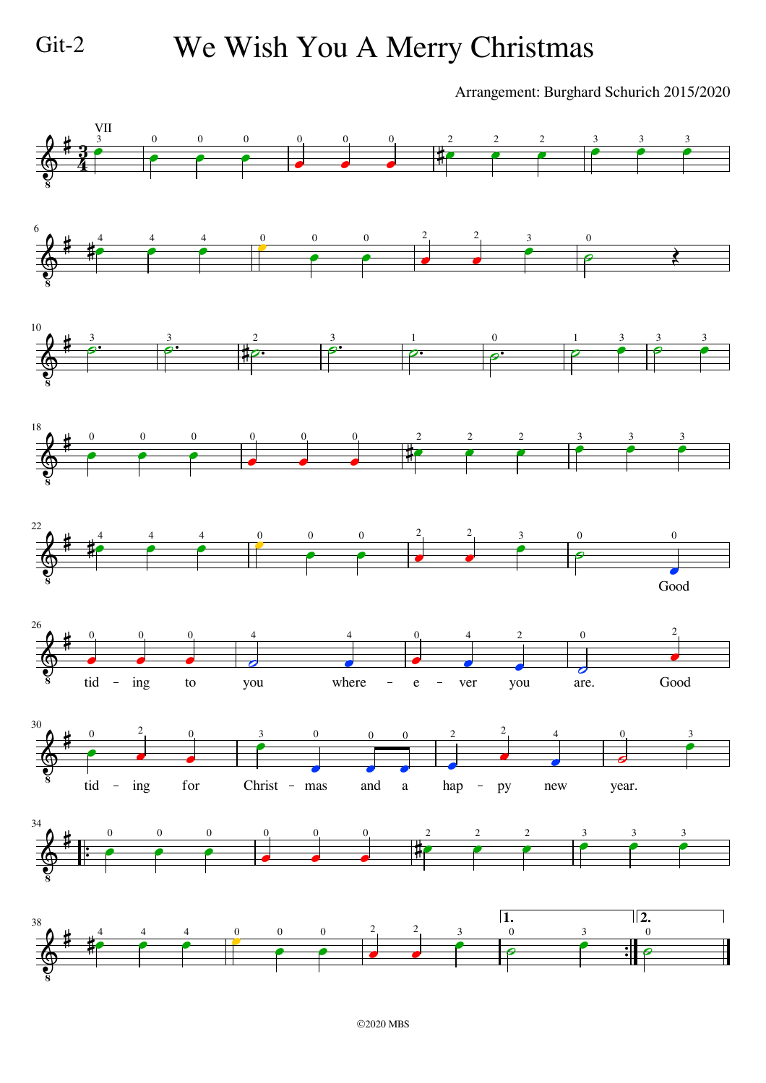#### Git-2 We Wish You A Merry Christmas

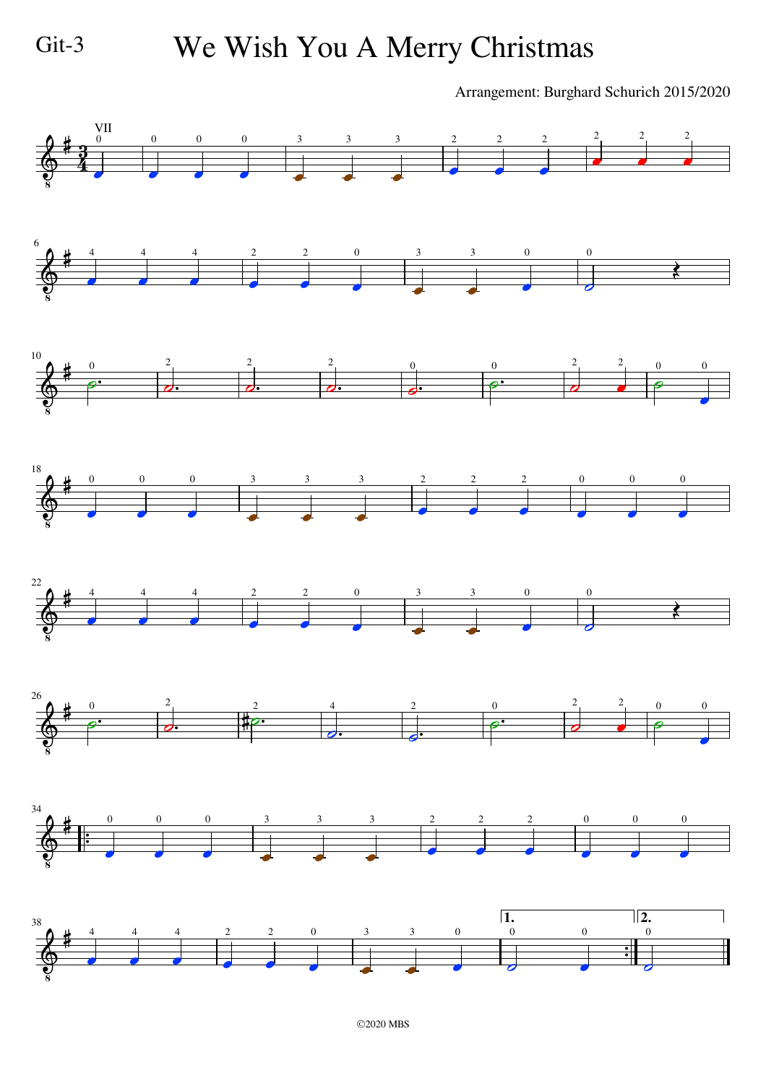# Git-3 We Wish You A Merry Christmas